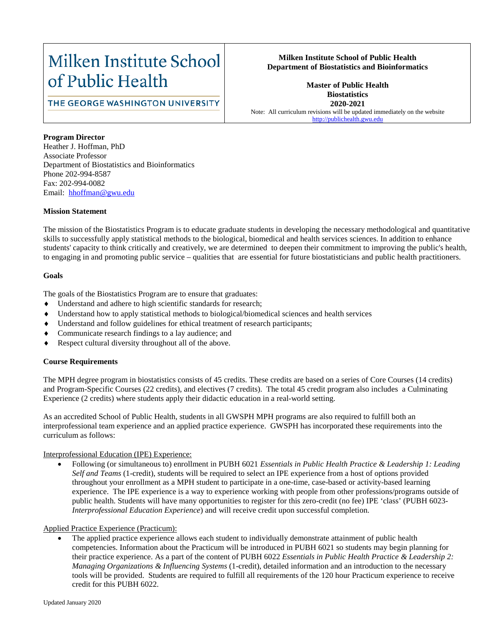# Milken Institute School of Public Health

# **Milken Institute School of Public Health Department of Biostatistics and Bioinformatics**

# THE GEORGE WASHINGTON UNIVERSITY

**Master of Public Health Biostatistics 2020-2021** Note: All curriculum revisions will be updated immediately on the website [http://publichealth.gwu.edu](http://publichealth.gwu.edu/)

#### **Program Director**

Heather J. Hoffman, PhD Associate Professor Department of Biostatistics and Bioinformatics Phone 202-994-8587 Fax: 202-994-0082 Email: hhoffman@gwu.edu

#### **Mission Statement**

The mission of the Biostatistics Program is to educate graduate students in developing the necessary methodological and quantitative skills to successfully apply statistical methods to the biological, biomedical and health services sciences. In addition to enhance students' capacity to think critically and creatively, we are determined to deepen their commitment to improving the public's health, to engaging in and promoting public service – qualities that are essential for future biostatisticians and public health practitioners.

#### **Goals**

The goals of the Biostatistics Program are to ensure that graduates:

- Understand and adhere to high scientific standards for research;
- Understand how to apply statistical methods to biological/biomedical sciences and health services
- Understand and follow guidelines for ethical treatment of research participants;
- Communicate research findings to a lay audience; and
- Respect cultural diversity throughout all of the above.

### **Course Requirements**

The MPH degree program in biostatistics consists of 45 credits. These credits are based on a series of Core Courses (14 credits) and Program-Specific Courses (22 credits), and electives (7 credits). The total 45 credit program also includes a Culminating Experience (2 credits) where students apply their didactic education in a real-world setting.

As an accredited School of Public Health, students in all GWSPH MPH programs are also required to fulfill both an interprofessional team experience and an applied practice experience. GWSPH has incorporated these requirements into the curriculum as follows:

#### Interprofessional Education (IPE) Experience:

• Following (or simultaneous to) enrollment in PUBH 6021 *Essentials in Public Health Practice & Leadership 1: Leading Self and Teams* (1-credit), students will be required to select an IPE experience from a host of options provided throughout your enrollment as a MPH student to participate in a one-time, case-based or activity-based learning experience. The IPE experience is a way to experience working with people from other professions/programs outside of public health. Students will have many opportunities to register for this zero-credit (no fee) IPE 'class' (PUBH 6023- *Interprofessional Education Experience*) and will receive credit upon successful completion.

#### Applied Practice Experience (Practicum):

The applied practice experience allows each student to individually demonstrate attainment of public health competencies. Information about the Practicum will be introduced in PUBH 6021 so students may begin planning for their practice experience. As a part of the content of PUBH 6022 *Essentials in Public Health Practice & Leadership 2: Managing Organizations & Influencing Systems* (1-credit), detailed information and an introduction to the necessary tools will be provided. Students are required to fulfill all requirements of the 120 hour Practicum experience to receive credit for this PUBH 6022.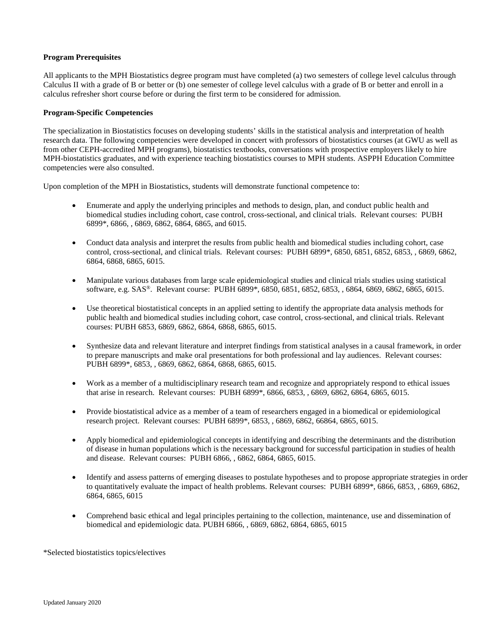#### **Program Prerequisites**

All applicants to the MPH Biostatistics degree program must have completed (a) two semesters of college level calculus through Calculus II with a grade of B or better or (b) one semester of college level calculus with a grade of B or better and enroll in a calculus refresher short course before or during the first term to be considered for admission.

#### **Program-Specific Competencies**

The specialization in Biostatistics focuses on developing students' skills in the statistical analysis and interpretation of health research data. The following competencies were developed in concert with professors of biostatistics courses (at GWU as well as from other CEPH-accredited MPH programs), biostatistics textbooks, conversations with prospective employers likely to hire MPH-biostatistics graduates, and with experience teaching biostatistics courses to MPH students. ASPPH Education Committee competencies were also consulted.

Upon completion of the MPH in Biostatistics, students will demonstrate functional competence to:

- Enumerate and apply the underlying principles and methods to design, plan, and conduct public health and biomedical studies including cohort, case control, cross-sectional, and clinical trials. Relevant courses: PUBH 6899\*, 6866, , 6869, 6862, 6864, 6865, and 6015.
- Conduct data analysis and interpret the results from public health and biomedical studies including cohort, case control, cross-sectional, and clinical trials. Relevant courses: PUBH 6899\*, 6850, 6851, 6852, 6853, , 6869, 6862, 6864, 6868, 6865, 6015.
- Manipulate various databases from large scale epidemiological studies and clinical trials studies using statistical software, e.g. SAS®. Relevant course: PUBH 6899\*, 6850, 6851, 6852, 6853, , 6864, 6869, 6862, 6865, 6015.
- Use theoretical biostatistical concepts in an applied setting to identify the appropriate data analysis methods for public health and biomedical studies including cohort, case control, cross-sectional, and clinical trials. Relevant courses: PUBH 6853, 6869, 6862, 6864, 6868, 6865, 6015.
- Synthesize data and relevant literature and interpret findings from statistical analyses in a causal framework, in order to prepare manuscripts and make oral presentations for both professional and lay audiences. Relevant courses: PUBH 6899\*, 6853, , 6869, 6862, 6864, 6868, 6865, 6015.
- Work as a member of a multidisciplinary research team and recognize and appropriately respond to ethical issues that arise in research. Relevant courses: PUBH 6899\*, 6866, 6853, , 6869, 6862, 6864, 6865, 6015.
- Provide biostatistical advice as a member of a team of researchers engaged in a biomedical or epidemiological research project. Relevant courses: PUBH 6899\*, 6853, , 6869, 6862, 66864, 6865, 6015.
- Apply biomedical and epidemiological concepts in identifying and describing the determinants and the distribution of disease in human populations which is the necessary background for successful participation in studies of health and disease. Relevant courses: PUBH 6866, , 6862, 6864, 6865, 6015.
- Identify and assess patterns of emerging diseases to postulate hypotheses and to propose appropriate strategies in order to quantitatively evaluate the impact of health problems. Relevant courses: PUBH 6899\*, 6866, 6853, , 6869, 6862, 6864, 6865, 6015
- Comprehend basic ethical and legal principles pertaining to the collection, maintenance, use and dissemination of biomedical and epidemiologic data. PUBH 6866, , 6869, 6862, 6864, 6865, 6015

\*Selected biostatistics topics/electives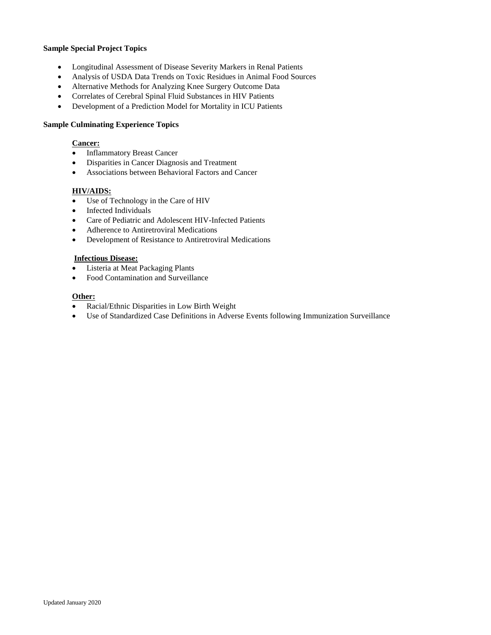#### **Sample Special Project Topics**

- Longitudinal Assessment of Disease Severity Markers in Renal Patients
- Analysis of USDA Data Trends on Toxic Residues in Animal Food Sources
- Alternative Methods for Analyzing Knee Surgery Outcome Data
- Correlates of Cerebral Spinal Fluid Substances in HIV Patients
- Development of a Prediction Model for Mortality in ICU Patients

#### **Sample Culminating Experience Topics**

#### **Cancer:**

- Inflammatory Breast Cancer
- Disparities in Cancer Diagnosis and Treatment
- Associations between Behavioral Factors and Cancer

#### **HIV/AIDS:**

- Use of Technology in the Care of HIV
- Infected Individuals
- Care of Pediatric and Adolescent HIV-Infected Patients
- Adherence to Antiretroviral Medications
- Development of Resistance to Antiretroviral Medications

#### **Infectious Disease:**

- Listeria at Meat Packaging Plants
- Food Contamination and Surveillance

#### **Other:**

- Racial/Ethnic Disparities in Low Birth Weight
- Use of Standardized Case Definitions in Adverse Events following Immunization Surveillance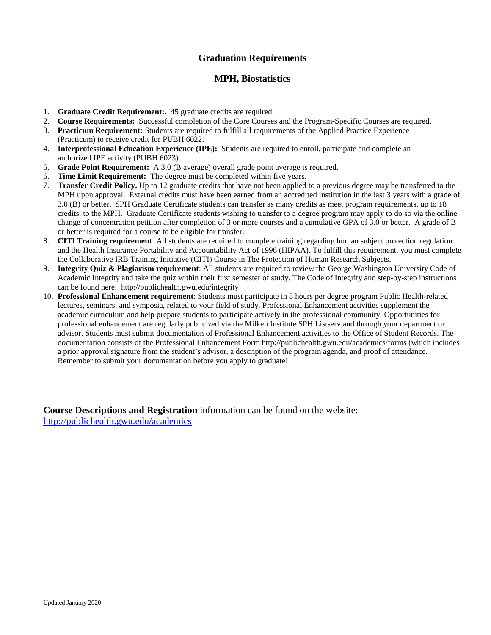# **Graduation Requirements**

# **MPH, Biostatistics**

- 1. **Graduate Credit Requirement:.** 45 graduate credits are required.
- 2. **Course Requirements:** Successful completion of the Core Courses and the Program-Specific Courses are required.
- 3. **Practicum Requirement:** Students are required to fulfill all requirements of the Applied Practice Experience (Practicum) to receive credit for PUBH 6022.
- 4. **Interprofessional Education Experience (IPE):** Students are required to enroll, participate and complete an authorized IPE activity (PUBH 6023).
- 5. **Grade Point Requirement:** A 3.0 (B average) overall grade point average is required.
- 6. **Time Limit Requirement:** The degree must be completed within five years.
- 7. **Transfer Credit Policy.** Up to 12 graduate credits that have not been applied to a previous degree may be transferred to the MPH upon approval. External credits must have been earned from an accredited institution in the last 3 years with a grade of 3.0 (B) or better. SPH Graduate Certificate students can transfer as many credits as meet program requirements, up to 18 credits, to the MPH. Graduate Certificate students wishing to transfer to a degree program may apply to do so via the online change of concentration petition after completion of 3 or more courses and a cumulative GPA of 3.0 or better. A grade of B or better is required for a course to be eligible for transfer.
- 8. **CITI Training requirement**: All students are required to complete training regarding human subject protection regulation and the Health Insurance Portability and Accountability Act of 1996 (HIPAA). To fulfill this requirement, you must complete the Collaborative IRB Training Initiative (CITI) Course in The Protection of Human Research Subjects.
- 9. **Integrity Quiz & Plagiarism requirement**: All students are required to review the George Washington University Code of Academic Integrity and take the quiz within their first semester of study. The Code of Integrity and step-by-step instructions can be found here: http://publichealth.gwu.edu/integrity
- 10. **Professional Enhancement requirement**: Students must participate in 8 hours per degree program Public Health-related lectures, seminars, and symposia, related to your field of study. Professional Enhancement activities supplement the academic curriculum and help prepare students to participate actively in the professional community. Opportunities for professional enhancement are regularly publicized via the Milken Institute SPH Listserv and through your department or advisor. Students must submit documentation of Professional Enhancement activities to the Office of Student Records. The documentation consists of the Professional Enhancement Form http://publichealth.gwu.edu/academics/forms (which includes a prior approval signature from the student's advisor, a description of the program agenda, and proof of attendance. Remember to submit your documentation before you apply to graduate!

**Course Descriptions and Registration** information can be found on the website: <http://publichealth.gwu.edu/academics>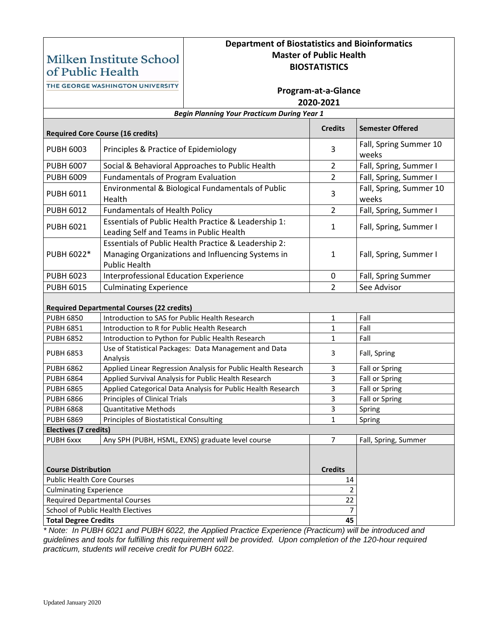# Milken Institute School of Public Health

# **Department of Biostatistics and Bioinformatics Master of Public Health BIOSTATISTICS**

**Program-at-a-Glance**

THE GEORGE WASHINGTON UNIVERSITY

| 2020-2021                                          |                                                                                                                                   |                |                                  |  |  |  |  |  |
|----------------------------------------------------|-----------------------------------------------------------------------------------------------------------------------------------|----------------|----------------------------------|--|--|--|--|--|
| <b>Begin Planning Your Practicum During Year 1</b> |                                                                                                                                   |                |                                  |  |  |  |  |  |
|                                                    | <b>Required Core Course (16 credits)</b>                                                                                          | <b>Credits</b> | <b>Semester Offered</b>          |  |  |  |  |  |
| <b>PUBH 6003</b>                                   | Principles & Practice of Epidemiology                                                                                             | 3              | Fall, Spring Summer 10<br>weeks  |  |  |  |  |  |
| <b>PUBH 6007</b>                                   | Social & Behavioral Approaches to Public Health                                                                                   | $\overline{2}$ | Fall, Spring, Summer I           |  |  |  |  |  |
| <b>PUBH 6009</b>                                   | <b>Fundamentals of Program Evaluation</b>                                                                                         | $\overline{2}$ | Fall, Spring, Summer I           |  |  |  |  |  |
| <b>PUBH 6011</b>                                   | Environmental & Biological Fundamentals of Public<br>Health                                                                       | 3              | Fall, Spring, Summer 10<br>weeks |  |  |  |  |  |
| <b>PUBH 6012</b>                                   | <b>Fundamentals of Health Policy</b>                                                                                              | $\overline{2}$ | Fall, Spring, Summer I           |  |  |  |  |  |
| <b>PUBH 6021</b>                                   | Essentials of Public Health Practice & Leadership 1:<br>Leading Self and Teams in Public Health                                   | 1              | Fall, Spring, Summer I           |  |  |  |  |  |
| PUBH 6022*                                         | Essentials of Public Health Practice & Leadership 2:<br>Managing Organizations and Influencing Systems in<br><b>Public Health</b> | 1              | Fall, Spring, Summer I           |  |  |  |  |  |
| <b>PUBH 6023</b>                                   | <b>Interprofessional Education Experience</b>                                                                                     | $\mathbf 0$    | Fall, Spring Summer              |  |  |  |  |  |
| <b>PUBH 6015</b>                                   | <b>Culminating Experience</b>                                                                                                     | $\overline{2}$ | See Advisor                      |  |  |  |  |  |
| <b>Required Departmental Courses (22 credits)</b>  |                                                                                                                                   |                |                                  |  |  |  |  |  |
| <b>PUBH 6850</b>                                   | Introduction to SAS for Public Health Research                                                                                    | 1              | Fall                             |  |  |  |  |  |
| <b>PUBH 6851</b>                                   | Introduction to R for Public Health Research                                                                                      | 1              | Fall                             |  |  |  |  |  |
| <b>PUBH 6852</b>                                   | Introduction to Python for Public Health Research                                                                                 | 1              | Fall                             |  |  |  |  |  |
| <b>PUBH 6853</b>                                   | Use of Statistical Packages: Data Management and Data<br>Analysis                                                                 | 3              | Fall, Spring                     |  |  |  |  |  |
| <b>PUBH 6862</b>                                   | Applied Linear Regression Analysis for Public Health Research                                                                     | 3              | Fall or Spring                   |  |  |  |  |  |
| <b>PUBH 6864</b>                                   | Applied Survival Analysis for Public Health Research                                                                              | 3              | Fall or Spring                   |  |  |  |  |  |
| <b>PUBH 6865</b>                                   | Applied Categorical Data Analysis for Public Health Research                                                                      | 3              | Fall or Spring                   |  |  |  |  |  |
| <b>PUBH 6866</b>                                   | Principles of Clinical Trials                                                                                                     | 3              | Fall or Spring                   |  |  |  |  |  |
| <b>PUBH 6868</b>                                   | <b>Quantitative Methods</b>                                                                                                       | 3              | Spring                           |  |  |  |  |  |
| <b>PUBH 6869</b>                                   | Principles of Biostatistical Consulting                                                                                           | 1              | Spring                           |  |  |  |  |  |
| <b>Electives (7 credits)</b>                       |                                                                                                                                   |                |                                  |  |  |  |  |  |
| PUBH 6xxx                                          | Any SPH (PUBH, HSML, EXNS) graduate level course                                                                                  | $\overline{7}$ | Fall, Spring, Summer             |  |  |  |  |  |
| <b>Course Distribution</b>                         |                                                                                                                                   | <b>Credits</b> |                                  |  |  |  |  |  |
| <b>Public Health Core Courses</b>                  |                                                                                                                                   |                |                                  |  |  |  |  |  |
| <b>Culminating Experience</b>                      |                                                                                                                                   | 2              |                                  |  |  |  |  |  |
| <b>Required Departmental Courses</b>               |                                                                                                                                   | 22             |                                  |  |  |  |  |  |
| School of Public Health Electives                  |                                                                                                                                   | $\overline{7}$ |                                  |  |  |  |  |  |
| <b>Total Degree Credits</b>                        |                                                                                                                                   | 45             |                                  |  |  |  |  |  |

*\* Note: In PUBH 6021 and PUBH 6022, the Applied Practice Experience (Practicum) will be introduced and guidelines and tools for fulfilling this requirement will be provided. Upon completion of the 120-hour required practicum, students will receive credit for PUBH 6022.*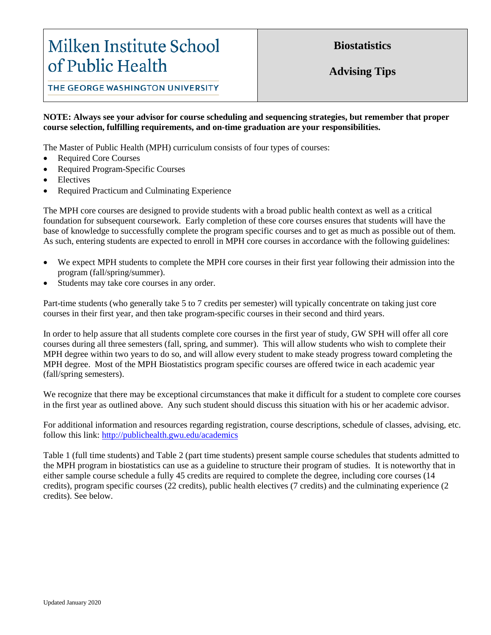# Milken Institute School of Public Health

**Biostatistics**

**Advising Tips**

THE GEORGE WASHINGTON UNIVERSITY

# **NOTE: Always see your advisor for course scheduling and sequencing strategies, but remember that proper course selection, fulfilling requirements, and on-time graduation are your responsibilities.**

The Master of Public Health (MPH) curriculum consists of four types of courses:

- Required Core Courses
- Required Program-Specific Courses
- **Electives**
- Required Practicum and Culminating Experience

The MPH core courses are designed to provide students with a broad public health context as well as a critical foundation for subsequent coursework. Early completion of these core courses ensures that students will have the base of knowledge to successfully complete the program specific courses and to get as much as possible out of them. As such, entering students are expected to enroll in MPH core courses in accordance with the following guidelines:

- We expect MPH students to complete the MPH core courses in their first year following their admission into the program (fall/spring/summer).
- Students may take core courses in any order.

Part-time students (who generally take 5 to 7 credits per semester) will typically concentrate on taking just core courses in their first year, and then take program-specific courses in their second and third years.

In order to help assure that all students complete core courses in the first year of study, GW SPH will offer all core courses during all three semesters (fall, spring, and summer). This will allow students who wish to complete their MPH degree within two years to do so, and will allow every student to make steady progress toward completing the MPH degree. Most of the MPH Biostatistics program specific courses are offered twice in each academic year (fall/spring semesters).

We recognize that there may be exceptional circumstances that make it difficult for a student to complete core courses in the first year as outlined above. Any such student should discuss this situation with his or her academic advisor.

For additional information and resources regarding registration, course descriptions, schedule of classes, advising, etc. follow this link: <http://publichealth.gwu.edu/academics>

Table 1 (full time students) and Table 2 (part time students) present sample course schedules that students admitted to the MPH program in biostatistics can use as a guideline to structure their program of studies. It is noteworthy that in either sample course schedule a fully 45 credits are required to complete the degree, including core courses (14 credits), program specific courses (22 credits), public health electives (7 credits) and the culminating experience (2 credits). See below.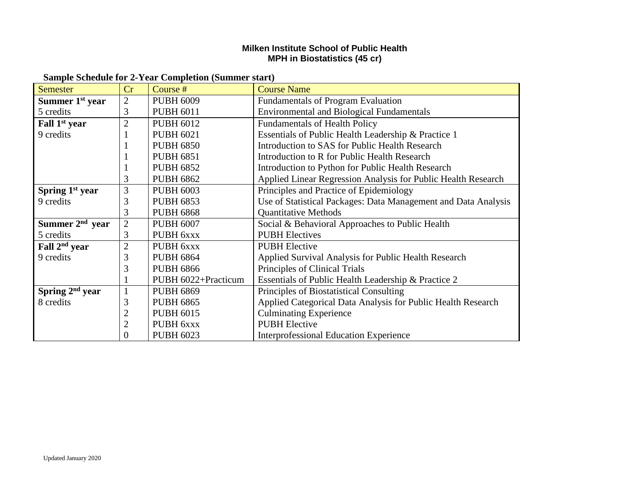# **Milken Institute School of Public Health MPH in Biostatistics (45 cr)**

| <b>Semester</b>             | Cr             | Course $#$          | <b>Course Name</b>                                             |
|-----------------------------|----------------|---------------------|----------------------------------------------------------------|
| Summer $1st$ year           | $\overline{2}$ | <b>PUBH 6009</b>    | <b>Fundamentals of Program Evaluation</b>                      |
| 5 credits                   | 3              | <b>PUBH 6011</b>    | <b>Environmental and Biological Fundamentals</b>               |
| Fall 1 <sup>st</sup> year   | $\overline{2}$ | <b>PUBH 6012</b>    | <b>Fundamentals of Health Policy</b>                           |
| 9 credits                   |                | <b>PUBH 6021</b>    | Essentials of Public Health Leadership & Practice 1            |
|                             |                | <b>PUBH 6850</b>    | Introduction to SAS for Public Health Research                 |
|                             |                | <b>PUBH 6851</b>    | Introduction to R for Public Health Research                   |
|                             |                | <b>PUBH 6852</b>    | Introduction to Python for Public Health Research              |
|                             | 3              | <b>PUBH 6862</b>    | Applied Linear Regression Analysis for Public Health Research  |
| Spring 1 <sup>st</sup> year | 3              | <b>PUBH 6003</b>    | Principles and Practice of Epidemiology                        |
| 9 credits                   | 3              | <b>PUBH 6853</b>    | Use of Statistical Packages: Data Management and Data Analysis |
|                             | 3              | <b>PUBH 6868</b>    | <b>Quantitative Methods</b>                                    |
| Summer 2 <sup>nd</sup> year | $\overline{2}$ | <b>PUBH 6007</b>    | Social & Behavioral Approaches to Public Health                |
| 5 credits                   | 3              | PUBH 6xxx           | <b>PUBH</b> Electives                                          |
| Fall 2 <sup>nd</sup> year   | $\overline{2}$ | PUBH 6xxx           | <b>PUBH Elective</b>                                           |
| 9 credits                   | 3              | <b>PUBH 6864</b>    | Applied Survival Analysis for Public Health Research           |
|                             | 3              | <b>PUBH 6866</b>    | Principles of Clinical Trials                                  |
|                             |                | PUBH 6022+Practicum | Essentials of Public Health Leadership & Practice 2            |
| Spring $2nd$ year           | $\mathbf{1}$   | <b>PUBH 6869</b>    | Principles of Biostatistical Consulting                        |
| 8 credits                   | 3              | <b>PUBH 6865</b>    | Applied Categorical Data Analysis for Public Health Research   |
|                             | 2              | <b>PUBH 6015</b>    | <b>Culminating Experience</b>                                  |
|                             | $\overline{c}$ | PUBH 6xxx           | <b>PUBH</b> Elective                                           |
|                             | $\Omega$       | <b>PUBH 6023</b>    | <b>Interprofessional Education Experience</b>                  |